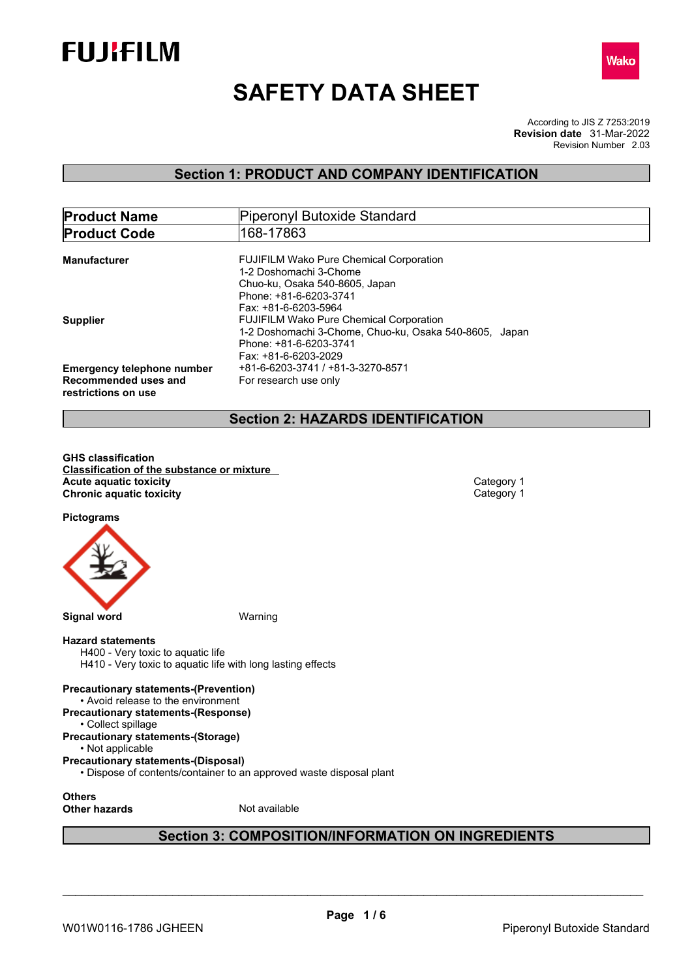



# **SAFETY DATA SHEET**

According to JIS Z 7253:2019 Revision Number 2.03 **Revision date** 31-Mar-2022

## **Section 1: PRODUCT AND COMPANY IDENTIFICATION**

| <b>Product Name</b>                                                              | Piperonyl Butoxide Standard                                                                                                                                                        |
|----------------------------------------------------------------------------------|------------------------------------------------------------------------------------------------------------------------------------------------------------------------------------|
| <b>Product Code</b>                                                              | 168-17863                                                                                                                                                                          |
| <b>Manufacturer</b>                                                              | <b>FUJIFILM Wako Pure Chemical Corporation</b><br>1-2 Doshomachi 3-Chome<br>Chuo-ku, Osaka 540-8605, Japan<br>Phone: +81-6-6203-3741                                               |
| <b>Supplier</b>                                                                  | Fax: +81-6-6203-5964<br><b>FUJIFILM Wako Pure Chemical Corporation</b><br>1-2 Doshomachi 3-Chome, Chuo-ku, Osaka 540-8605, Japan<br>Phone: +81-6-6203-3741<br>Fax: +81-6-6203-2029 |
| <b>Emergency telephone number</b><br>Recommended uses and<br>restrictions on use | +81-6-6203-3741 / +81-3-3270-8571<br>For research use only                                                                                                                         |

## **Section 2: HAZARDS IDENTIFICATION**

**GHS classification Classification of the substance or mixture Acute** aquatic toxicity<br> **Category 1**<br> **Chronic aquatic toxicity**<br>
Category 1 **Chronic aquatic toxicity** 

**Pictograms**



#### **Hazard statements**

H400 - Very toxic to aquatic life H410 - Very toxic to aquatic life with long lasting effects

## **Precautionary statements-(Prevention)**

- Avoid release to the environment
- **Precautionary statements-(Response)**
- Collect spillage

#### **Precautionary statements-(Storage)** • Not applicable

- **Precautionary statements-(Disposal)**
	- Dispose of contents/container to an approved waste disposal plant

**Others**

**Other hazards** Not available

## **Section 3: COMPOSITION/INFORMATION ON INGREDIENTS**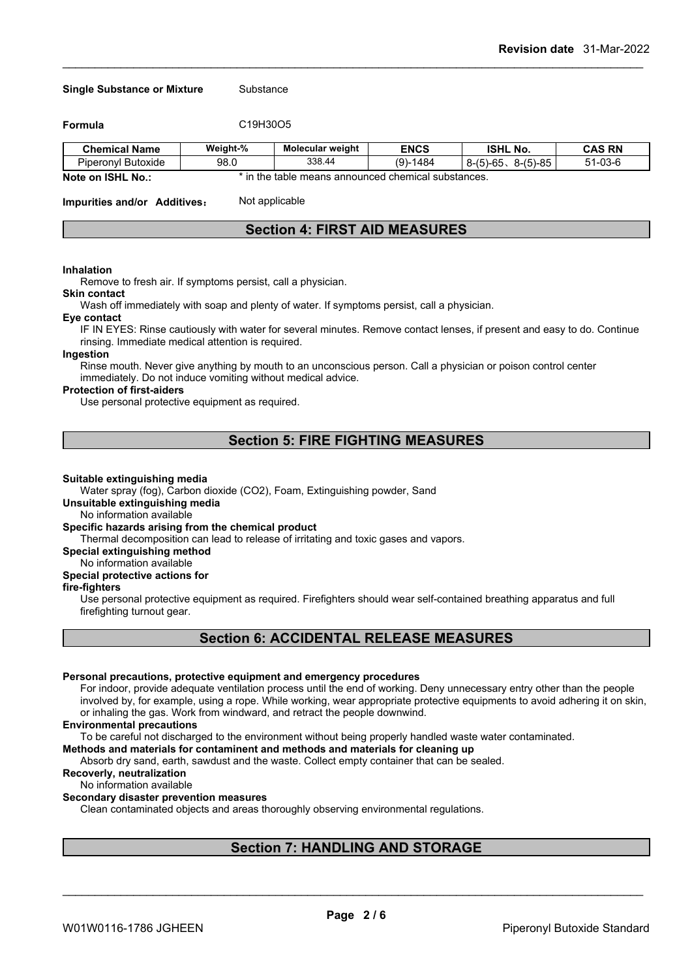#### **Single Substance or Mixture** Substance

**Formula** C19H30O5

| <b>Chemical Name</b>                     | Weight-% | <b>Molecular weight</b>                                                                                          | <b>ENCS</b>     | <b>ISHL</b><br>' No.                           | <b>CAS RN</b>                   |
|------------------------------------------|----------|------------------------------------------------------------------------------------------------------------------|-----------------|------------------------------------------------|---------------------------------|
| - -<br>Piperony <sup>1</sup><br>Butoxide | 98.0     | 338.44                                                                                                           | $(9)$ .<br>1484 | $(5)-85$<br>$1 - 6F$<br>יי<br>י-ם<br>∍-<br>ັບບ | $\sim$<br>E 4<br>- ו ה<br>יי-כט |
| . .<br>$\sim$                            |          | antico and the total contract of the contract of the contract of the contract of the contract of the contract of |                 |                                                |                                 |

**Note on ISHL No.:** \* in the table means announced chemical substances.

**Impurities and/or Additives:** Not applicable

## **Section 4: FIRST AID MEASURES**

#### **Inhalation**

Remove to fresh air. If symptoms persist, call a physician.

#### **Skin contact**

Wash off immediately with soap and plenty of water. If symptoms persist, call a physician.

#### **Eye contact**

IF IN EYES: Rinse cautiously with water for several minutes. Remove contact lenses, if present and easy to do. Continue rinsing. Immediate medical attention is required.

#### **Ingestion**

Rinse mouth. Never give anything by mouth to an unconscious person. Call a physician or poison control center immediately. Do not induce vomiting without medical advice.

#### **Protection of first-aiders**

Use personal protective equipment as required.

## **Section 5: FIRE FIGHTING MEASURES**

#### **Suitable extinguishing media**

Water spray (fog), Carbon dioxide (CO2), Foam, Extinguishing powder, Sand

## **Unsuitable extinguishing media**

No information available

## **Specific hazards arising from the chemical product**

Thermal decomposition can lead to release of irritating and toxic gases and vapors.

**Special extinguishing method**

#### No information available

## **Special protective actions for**

## **fire-fighters**

Use personal protective equipment as required.Firefighters should wear self-contained breathing apparatus and full firefighting turnout gear.

## **Section 6: ACCIDENTAL RELEASE MEASURES**

#### **Personal precautions, protective equipment and emergency procedures**

For indoor, provide adequate ventilation process until the end of working. Deny unnecessary entry other than the people involved by, for example, using a rope. While working, wear appropriate protective equipments to avoid adhering it on skin, or inhaling the gas. Work from windward, and retract the people downwind.

#### **Environmental precautions**

To be careful not discharged to the environment without being properly handled waste water contaminated.

**Methods and materials for contaminent and methods and materials for cleaning up**

Absorb dry sand, earth, sawdust and the waste. Collect empty container that can be sealed.

**Recoverly, neutralization**

## No information available

## **Secondary disaster prevention measures**

Clean contaminated objects and areas thoroughly observing environmental regulations.

## **Section 7: HANDLING AND STORAGE**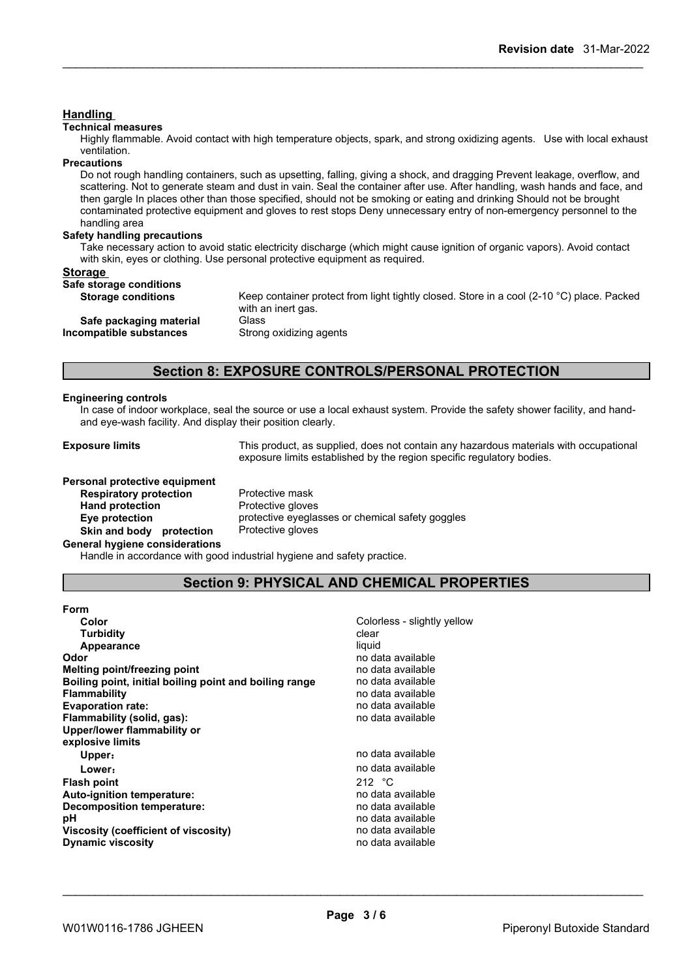## **Handling**

#### **Technical measures**

Highly flammable. Avoid contact with high temperature objects, spark, and strong oxidizing agents. Use with local exhaust ventilation.

#### **Precautions**

Do not rough handling containers, such as upsetting, falling, giving a shock, and dragging Prevent leakage, overflow, and scattering. Not to generate steam and dust in vain. Seal the container after use. After handling, wash hands and face, and then gargle In places other than those specified, should not be smoking or eating and drinking Should not be brought contaminated protective equipment and gloves to rest stops Deny unnecessary entry of non-emergency personnel to the handling area

#### **Safety handling precautions**

Take necessary action to avoid static electricity discharge (which might cause ignition of organic vapors). Avoid contact with skin, eyes or clothing. Use personal protective equipment as required.

### **Storage**

| Safe storage conditions<br>Keep container protect from light tightly closed. Store in a cool (2-10 $^{\circ}$ C) place. Packed<br><b>Storage conditions</b><br>with an inert gas.<br>Safe packaging material<br>Glass<br>Strong oxidizing agents<br>Incompatible substances | ------ |  |
|-----------------------------------------------------------------------------------------------------------------------------------------------------------------------------------------------------------------------------------------------------------------------------|--------|--|
|                                                                                                                                                                                                                                                                             |        |  |
|                                                                                                                                                                                                                                                                             |        |  |
|                                                                                                                                                                                                                                                                             |        |  |

## **Section 8: EXPOSURE CONTROLS/PERSONAL PROTECTION**

#### **Engineering controls**

In case of indoor workplace, seal the source or use a local exhaust system. Provide the safety shower facility, and handand eye-wash facility. And display their position clearly.

**Exposure limits** This product, as supplied, does not contain any hazardous materials with occupational exposure limits established by the region specific regulatory bodies.

## **Personal protective equipment**<br>**Respiratory protection** Protective mask

**Respiratory** protection **Hand protection** Protective gloves **Skin and body** protection **General hygiene considerations**

**Eye protection** protective eyeglasses or chemical safety goggles<br> **Skin and body protection** Protective gloves

Handle in accordance with good industrial hygiene and safety practice.

## **Section 9: PHYSICAL AND CHEMICAL PROPERTIES**

| Form                                                   |                             |
|--------------------------------------------------------|-----------------------------|
| Color                                                  | Colorless - slightly yellow |
| <b>Turbidity</b>                                       | clear                       |
| Appearance                                             | liquid                      |
| Odor                                                   | no data available           |
| Melting point/freezing point                           | no data available           |
| Boiling point, initial boiling point and boiling range | no data available           |
| <b>Flammability</b>                                    | no data available           |
| <b>Evaporation rate:</b>                               | no data available           |
| Flammability (solid, gas):                             | no data available           |
| Upper/lower flammability or                            |                             |
| explosive limits                                       |                             |
| Upper:                                                 | no data available           |
| Lower:                                                 | no data available           |
| <b>Flash point</b>                                     | 212 $\degree$ C             |
| Auto-ignition temperature:                             | no data available           |
| Decomposition temperature:                             | no data available           |
| рH                                                     | no data available           |
| Viscosity (coefficient of viscosity)                   | no data available           |
| <b>Dynamic viscosity</b>                               | no data available           |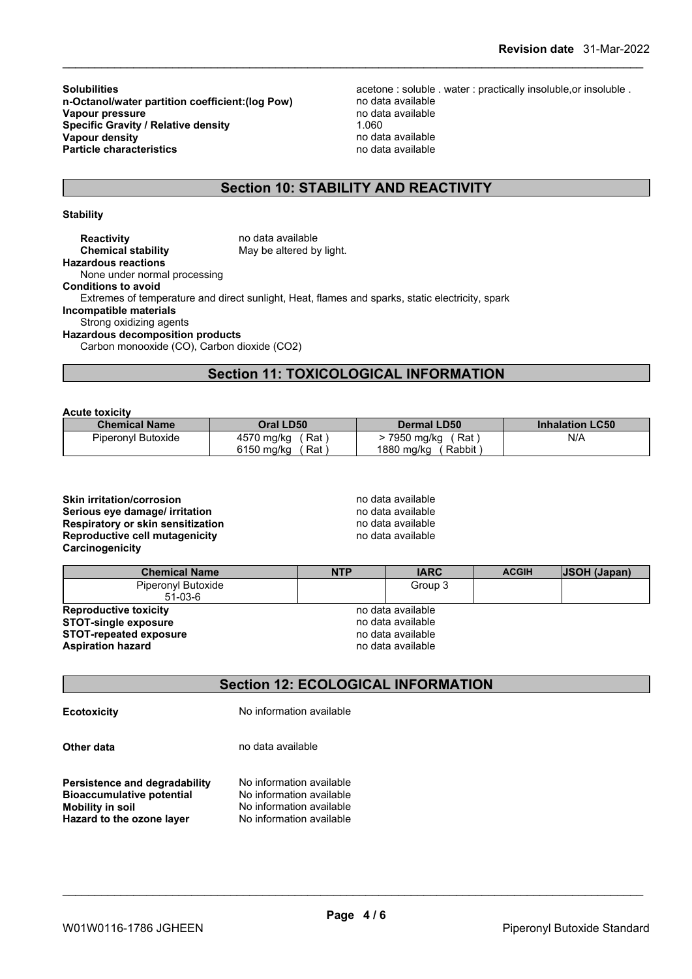**n-Octanol/water partition coefficient: (log Pow) Vapour pressure** no data available<br> **Specific Gravity / Relative density** 1060 1060 **Specific Gravity / Relative density** 1.060<br> **Vapour density** 1.060<br> **Vapour density Vapour density**<br> **Vapour density**<br> **Particle characteristics**<br> **Particle characteristics Particle characteristics** 

**Solubilities**<br>**n-Octanol/water partition coefficient:(log Pow)** acetone : soluble . water : practically insoluble,or insoluble .<br>no data available

## **Section 10: STABILITY AND REACTIVITY**

#### **Stability**

**Reactivity no data available Chemical stability** May be altered by light. **Hazardous reactions** None under normal processing **Conditions to avoid** Extremes of temperature and direct sunlight, Heat, flames and sparks, static electricity, spark **Incompatible materials** Strong oxidizing agents **Hazardous decomposition products** Carbon monooxide (CO), Carbon dioxide (CO2)

## **Section 11: TOXICOLOGICAL INFORMATION**

**Acute toxicity**

| <b>Chemical Name</b> | Oral LD50           | <b>Dermal LD50</b>   | <b>Inhalation LC50</b> |
|----------------------|---------------------|----------------------|------------------------|
| Piperonyl Butoxide   | 4570 mg/kg<br>. Rat | 7950 mg/kg<br>Rat    | N/A                    |
|                      | 6150 mg/kg<br>⊺Rat  | 1880 mg/kg<br>Rabbit |                        |

## **Skin irritation/corrosion no data available Serious eye damage/ irritation**<br> **Respiratory or skin sensitization**<br> **Respiratory or skin sensitization Respiratory or skin sensitization**<br> **Reproductive cell mutagenicity**<br> **Reproductive cell mutagenicity Reproductive cell mutagenicity**

| Carcinogenicity                                             |            |                                        |              |                     |
|-------------------------------------------------------------|------------|----------------------------------------|--------------|---------------------|
| <b>Chemical Name</b>                                        | <b>NTP</b> | <b>IARC</b>                            | <b>ACGIH</b> | <b>JSOH (Japan)</b> |
| Piperonyl Butoxide<br>51-03-6                               |            | Group 3                                |              |                     |
| <b>Reproductive toxicity</b><br><b>STOT-single exposure</b> |            | no data available<br>no data available |              |                     |
| <b>STOT-repeated exposure</b>                               |            | no data available                      |              |                     |
| <b>Aspiration hazard</b>                                    |            | no data available                      |              |                     |

## **Section 12: ECOLOGICAL INFORMATION**

**Ecotoxicity** No information available

**Other data** no data available

**Persistence and degradability** No information available<br>**Bioaccumulative potential** No information available **Bioaccumulative potential<br>Mobility in soil** No information available<br>No information available **Hazard** to the ozone layer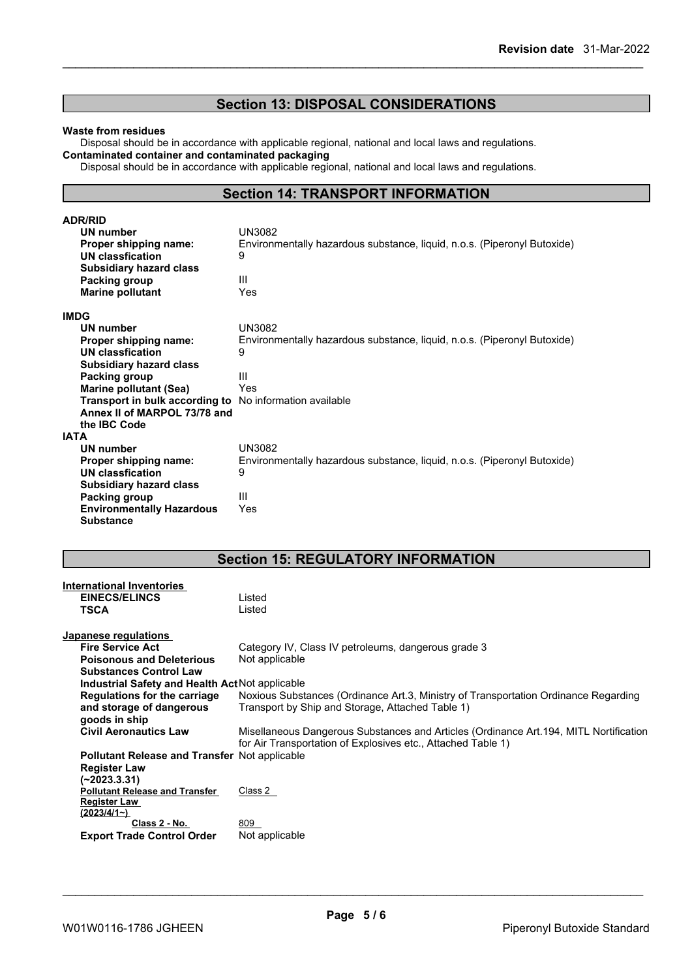## **Section 13: DISPOSAL CONSIDERATIONS**

#### **Waste from residues**

Disposal should be in accordance with applicable regional, national and local laws and regulations. **Contaminated container and contaminated packaging**

Disposal should be in accordance with applicable regional, national and local laws and regulations.

## **Section 14: TRANSPORT INFORMATION**

| <b>ADR/RID</b>                                          |                                                                          |
|---------------------------------------------------------|--------------------------------------------------------------------------|
| UN number                                               | UN3082                                                                   |
| Proper shipping name:                                   | Environmentally hazardous substance, liquid, n.o.s. (Piperonyl Butoxide) |
| <b>UN classfication</b>                                 | 9                                                                        |
| <b>Subsidiary hazard class</b>                          |                                                                          |
| Packing group                                           | Ш                                                                        |
| <b>Marine pollutant</b>                                 | Yes                                                                      |
| <b>IMDG</b>                                             |                                                                          |
| UN number                                               | UN3082                                                                   |
| Proper shipping name:                                   | Environmentally hazardous substance, liquid, n.o.s. (Piperonyl Butoxide) |
| <b>UN classfication</b>                                 | 9                                                                        |
| <b>Subsidiary hazard class</b>                          |                                                                          |
| Packing group                                           | Ш                                                                        |
| <b>Marine pollutant (Sea)</b>                           | Yes                                                                      |
| Transport in bulk according to No information available |                                                                          |
| Annex II of MARPOL 73/78 and                            |                                                                          |
| the IBC Code                                            |                                                                          |
| <b>IATA</b>                                             |                                                                          |
| UN number                                               | <b>UN3082</b>                                                            |
| Proper shipping name:                                   | Environmentally hazardous substance, liquid, n.o.s. (Piperonyl Butoxide) |
| <b>UN classfication</b>                                 | 9                                                                        |
| <b>Subsidiary hazard class</b>                          |                                                                          |
| Packing group                                           | Ш                                                                        |
| <b>Environmentally Hazardous</b>                        | Yes                                                                      |
| <b>Substance</b>                                        |                                                                          |

## **Section 15: REGULATORY INFORMATION**

| <b>International Inventories</b><br><b>EINECS/ELINCS</b><br><b>TSCA</b> | Listed<br>Listed                                                                                                                                       |
|-------------------------------------------------------------------------|--------------------------------------------------------------------------------------------------------------------------------------------------------|
| Japanese regulations                                                    |                                                                                                                                                        |
| <b>Fire Service Act</b>                                                 | Category IV, Class IV petroleums, dangerous grade 3                                                                                                    |
| <b>Poisonous and Deleterious</b>                                        | Not applicable                                                                                                                                         |
| <b>Substances Control Law</b>                                           |                                                                                                                                                        |
| Industrial Safety and Health Act Not applicable                         |                                                                                                                                                        |
| Regulations for the carriage                                            | Noxious Substances (Ordinance Art.3, Ministry of Transportation Ordinance Regarding                                                                    |
| and storage of dangerous                                                | Transport by Ship and Storage, Attached Table 1)                                                                                                       |
| goods in ship                                                           |                                                                                                                                                        |
| <b>Civil Aeronautics Law</b>                                            | Misellaneous Dangerous Substances and Articles (Ordinance Art. 194, MITL Nortification<br>for Air Transportation of Explosives etc., Attached Table 1) |
| <b>Pollutant Release and Transfer Not applicable</b>                    |                                                                                                                                                        |
| <b>Register Law</b>                                                     |                                                                                                                                                        |
| (~2023.3.31)                                                            |                                                                                                                                                        |
| <b>Pollutant Release and Transfer</b>                                   | Class 2                                                                                                                                                |
| <b>Register Law</b>                                                     |                                                                                                                                                        |
| (2023/4/1)                                                              |                                                                                                                                                        |
| Class 2 - No.                                                           | 809                                                                                                                                                    |
| <b>Export Trade Control Order</b>                                       | Not applicable                                                                                                                                         |
|                                                                         |                                                                                                                                                        |